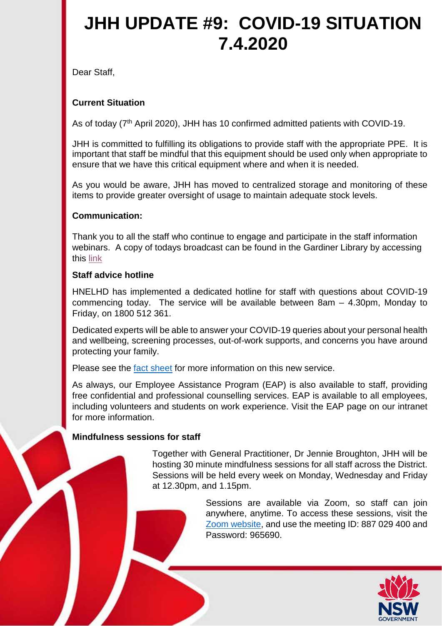# **JHH UPDATE #9: COVID-19 SITUATION 7.4.2020**

Dear Staff,

## **Current Situation**

As of today (7<sup>th</sup> April 2020), JHH has 10 confirmed admitted patients with COVID-19.

JHH is committed to fulfilling its obligations to provide staff with the appropriate PPE. It is important that staff be mindful that this equipment should be used only when appropriate to ensure that we have this critical equipment where and when it is needed.

As you would be aware, JHH has moved to centralized storage and monitoring of these items to provide greater oversight of usage to maintain adequate stock levels.

### **Communication:**

Thank you to all the staff who continue to engage and participate in the staff information webinars. A copy of todays broadcast can be found in the Gardiner Library by accessing this [link](http://www.hnehealthlibraries.com.au/483)

#### **Staff advice hotline**

HNELHD has implemented a dedicated hotline for staff with questions about COVID-19 commencing today. The service will be available between 8am – 4.30pm, Monday to Friday, on 1800 512 361.

Dedicated experts will be able to answer your COVID-19 queries about your personal health and wellbeing, screening processes, out-of-work supports, and concerns you have around protecting your family.

Please see the [fact sheet](http://intranet.hne.health.nsw.gov.au/__data/assets/pdf_file/0018/213615/Fact_sheet_Staff_Advice_Line_03.04.2020.pdf) for more information on this new service.

As always, our Employee Assistance Program (EAP) is also available to staff, providing free confidential and professional counselling services. EAP is available to all employees, including volunteers and students on work experience. Visit the EAP page on our intranet for more information.

### **Mindfulness sessions for staff**

Together with General Practitioner, Dr Jennie Broughton, JHH will be hosting 30 minute mindfulness sessions for all staff across the District. Sessions will be held every week on Monday, Wednesday and Friday at 12.30pm, and 1.15pm.

> Sessions are available via Zoom, so staff can join anywhere, anytime. To access these sessions, visit the [Zoom website,](https://zoom.us/j/887029400?pwd=ZkFFM1lqSjFiMlB5NjFCejRSQXNqZz09) and use the meeting ID: 887 029 400 and Password: 965690.